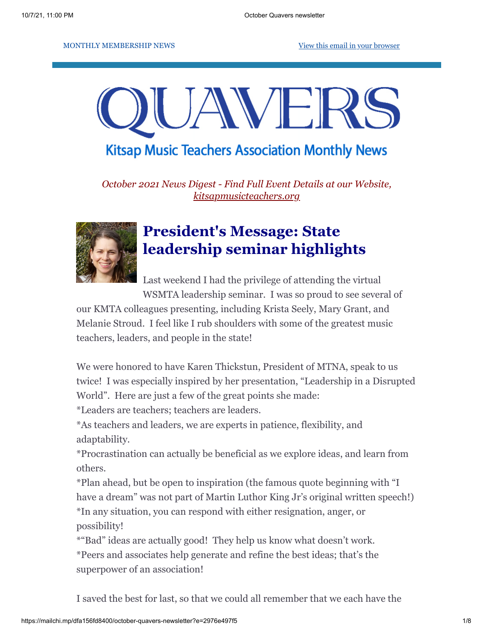#### MONTHLY MEMBERSHIP NEWS **[View this email in your browser](https://mailchi.mp/dfa156fd8400/october-quavers-newsletter?e=2976e497f5)**



## **Kitsap Music Teachers Association Monthly News**

*October 2021 News Digest - Find Full Event Details at our Website, [kitsapmusicteachers.org](http://www.kitsapmusicteachers.org/)*



# **President's Message: State leadership seminar highlights**

Last weekend I had the privilege of attending the virtual WSMTA leadership seminar. I was so proud to see several of

our KMTA colleagues presenting, including Krista Seely, Mary Grant, and Melanie Stroud. I feel like I rub shoulders with some of the greatest music teachers, leaders, and people in the state!

We were honored to have Karen Thickstun, President of MTNA, speak to us twice! I was especially inspired by her presentation, "Leadership in a Disrupted World". Here are just a few of the great points she made:

\*Leaders are teachers; teachers are leaders.

\*As teachers and leaders, we are experts in patience, flexibility, and adaptability.

\*Procrastination can actually be beneficial as we explore ideas, and learn from others.

\*Plan ahead, but be open to inspiration (the famous quote beginning with "I have a dream" was not part of Martin Luthor King Jr's original written speech!) \*In any situation, you can respond with either resignation, anger, or possibility!

\*"Bad" ideas are actually good! They help us know what doesn't work.

\*Peers and associates help generate and refine the best ideas; that's the superpower of an association!

I saved the best for last, so that we could all remember that we each have the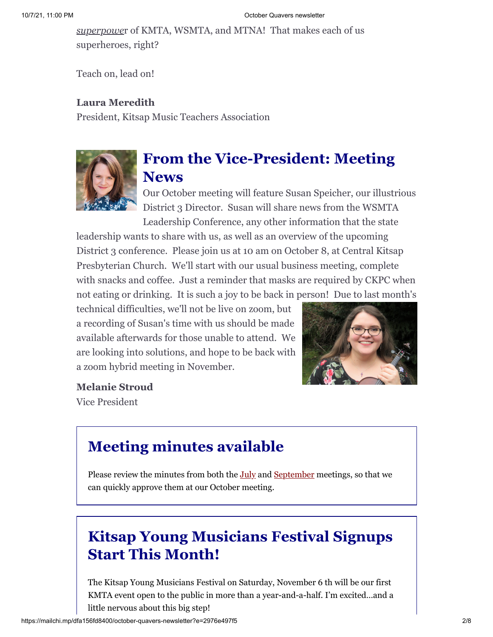#### 10/7/21, 11:00 PM **Details and Contact Contact Contact Contact Contact Contact Contact Contact Contact Contact Contact Contact Contact Contact Contact Contact Contact Contact Contact Contact Contact Contact Contact Contact**

*superpowe*r of KMTA, WSMTA, and MTNA! That makes each of us superheroes, right?

Teach on, lead on!

#### **Laura Meredith**

President, Kitsap Music Teachers Association



## **From the Vice-President: Meeting News**

Our October meeting will feature Susan Speicher, our illustrious District 3 Director. Susan will share news from the WSMTA Leadership Conference, any other information that the state

leadership wants to share with us, as well as an overview of the upcoming District 3 conference. Please join us at 10 am on October 8, at Central Kitsap Presbyterian Church. We'll start with our usual business meeting, complete with snacks and coffee. Just a reminder that masks are required by CKPC when not eating or drinking. It is such a joy to be back in person! Due to last month's

technical difficulties, we'll not be live on zoom, but a recording of Susan's time with us should be made available afterwards for those unable to attend. We are looking into solutions, and hope to be back with a zoom hybrid meeting in November.



#### **Melanie Stroud**

Vice President

## **Meeting minutes available**

Please review the minutes from both the [July](https://docs.google.com/document/d/1VUhkOcK4aEvSitZJTKffO5SP19vsP3O48yyJaMDW_z4/edit?usp=sharing) and [September](https://docs.google.com/document/d/1wZPBX2KToMGkp2-H5cfC1AELhMrhEC8V/edit?usp=sharing&ouid=117207654775875000168&rtpof=true&sd=true) meetings, so that we can quickly approve them at our October meeting.

# **Kitsap Young Musicians Festival Signups Start This Month!**

The Kitsap Young Musicians Festival on Saturday, November 6 th will be our first KMTA event open to the public in more than a year-and-a-half. I'm excited…and a little nervous about this big step!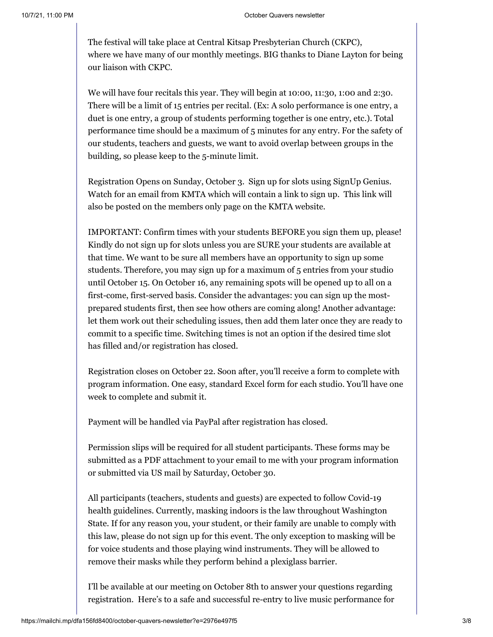The festival will take place at Central Kitsap Presbyterian Church (CKPC), where we have many of our monthly meetings. BIG thanks to Diane Layton for being our liaison with CKPC.

We will have four recitals this year. They will begin at 10:00, 11:30, 1:00 and 2:30. There will be a limit of 15 entries per recital. (Ex: A solo performance is one entry, a duet is one entry, a group of students performing together is one entry, etc.). Total performance time should be a maximum of 5 minutes for any entry. For the safety of our students, teachers and guests, we want to avoid overlap between groups in the building, so please keep to the 5-minute limit.

Registration Opens on Sunday, October 3. Sign up for slots using SignUp Genius. Watch for an email from KMTA which will contain a link to sign up. This link will also be posted on the members only page on the KMTA website.

IMPORTANT: Confirm times with your students BEFORE you sign them up, please! Kindly do not sign up for slots unless you are SURE your students are available at that time. We want to be sure all members have an opportunity to sign up some students. Therefore, you may sign up for a maximum of 5 entries from your studio until October 15. On October 16, any remaining spots will be opened up to all on a first-come, first-served basis. Consider the advantages: you can sign up the mostprepared students first, then see how others are coming along! Another advantage: let them work out their scheduling issues, then add them later once they are ready to commit to a specific time. Switching times is not an option if the desired time slot has filled and/or registration has closed.

Registration closes on October 22. Soon after, you'll receive a form to complete with program information. One easy, standard Excel form for each studio. You'll have one week to complete and submit it.

Payment will be handled via PayPal after registration has closed.

Permission slips will be required for all student participants. These forms may be submitted as a PDF attachment to your email to me with your program information or submitted via US mail by Saturday, October 30.

All participants (teachers, students and guests) are expected to follow Covid-19 health guidelines. Currently, masking indoors is the law throughout Washington State. If for any reason you, your student, or their family are unable to comply with this law, please do not sign up for this event. The only exception to masking will be for voice students and those playing wind instruments. They will be allowed to remove their masks while they perform behind a plexiglass barrier.

I'll be available at our meeting on October 8th to answer your questions regarding registration. Here's to a safe and successful re-entry to live music performance for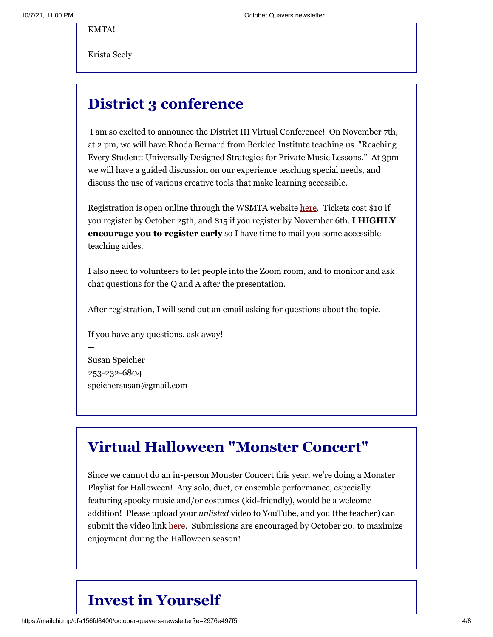KMTA!

Krista Seely

## **District 3 conference**

I am so excited to announce the District III Virtual Conference! On November 7th, at 2 pm, we will have Rhoda Bernard from Berklee Institute teaching us "Reaching Every Student: Universally Designed Strategies for Private Music Lessons." At 3pm we will have a guided discussion on our experience teaching special needs, and discuss the use of various creative tools that make learning accessible.

Registration is open online through the WSMTA website [here.](https://wsmta.org/districts-2021-virtual-district-iii-conference/) Tickets cost \$10 if you register by October 25th, and \$15 if you register by November 6th. **I HIGHLY encourage you to register early** so I have time to mail you some accessible teaching aides.

I also need to volunteers to let people into the Zoom room, and to monitor and ask chat questions for the Q and A after the presentation.

After registration, I will send out an email asking for questions about the topic.

If you have any questions, ask away! -- Susan Speicher 253-232-6804 speichersusan@gmail.com

### **Virtual Halloween "Monster Concert"**

Since we cannot do an in-person Monster Concert this year, we're doing a Monster Playlist for Halloween! Any solo, duet, or ensemble performance, especially featuring spooky music and/or costumes (kid-friendly), would be a welcome addition! Please upload your *unlisted* video to YouTube, and you (the teacher) can submit the video link [here](https://docs.google.com/forms/d/e/1FAIpQLSd6Cb5x8s9gAuz4ya7PF3EtMrudIjeb5RPvHtz2gQDU9KOR6g/viewform?usp=sf_link). Submissions are encouraged by October 20, to maximize enjoyment during the Halloween season!

## **Invest in Yourself**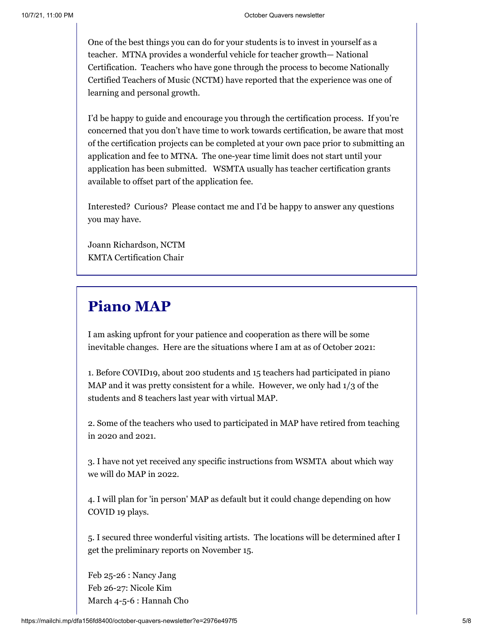One of the best things you can do for your students is to invest in yourself as a teacher. MTNA provides a wonderful vehicle for teacher growth— National Certification. Teachers who have gone through the process to become Nationally Certified Teachers of Music (NCTM) have reported that the experience was one of learning and personal growth.

I'd be happy to guide and encourage you through the certification process. If you're concerned that you don't have time to work towards certification, be aware that most of the certification projects can be completed at your own pace prior to submitting an application and fee to MTNA. The one-year time limit does not start until your application has been submitted. WSMTA usually has teacher certification grants available to offset part of the application fee.

Interested? Curious? Please contact me and I'd be happy to answer any questions you may have.

Joann Richardson, NCTM KMTA Certification Chair

## **Piano MAP**

I am asking upfront for your patience and cooperation as there will be some inevitable changes. Here are the situations where I am at as of October 2021:

1. Before COVID19, about 200 students and 15 teachers had participated in piano MAP and it was pretty consistent for a while. However, we only had  $1/3$  of the students and 8 teachers last year with virtual MAP.

2. Some of the teachers who used to participated in MAP have retired from teaching in 2020 and 2021.

3. I have not yet received any specific instructions from WSMTA about which way we will do MAP in 2022.

4. I will plan for 'in person' MAP as default but it could change depending on how COVID 19 plays.

5. I secured three wonderful visiting artists. The locations will be determined after I get the preliminary reports on November 15.

Feb 25-26 : Nancy Jang Feb 26-27: Nicole Kim March 4-5-6 : Hannah Cho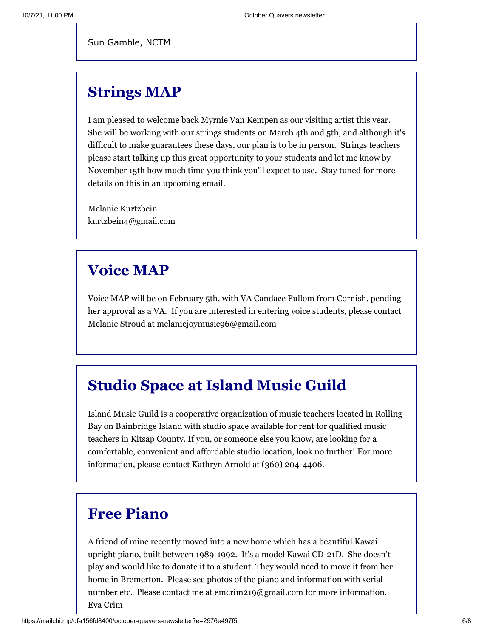Sun Gamble, NCTM

### **Strings MAP**

I am pleased to welcome back Myrnie Van Kempen as our visiting artist this year. She will be working with our strings students on March 4th and 5th, and although it's difficult to make guarantees these days, our plan is to be in person. Strings teachers please start talking up this great opportunity to your students and let me know by November 15th how much time you think you'll expect to use. Stay tuned for more details on this in an upcoming email.

Melanie Kurtzbein kurtzbein4@gmail.com

## **Voice MAP**

Voice MAP will be on February 5th, with VA Candace Pullom from Cornish, pending her approval as a VA. If you are interested in entering voice students, please contact Melanie Stroud at melaniejoymusic96@gmail.com

## **Studio Space at Island Music Guild**

Island Music Guild is a cooperative organization of music teachers located in Rolling Bay on Bainbridge Island with studio space available for rent for qualified music teachers in Kitsap County. If you, or someone else you know, are looking for a comfortable, convenient and affordable studio location, look no further! For more information, please contact Kathryn Arnold at (360) 204-4406.

### **Free Piano**

A friend of mine recently moved into a new home which has a beautiful Kawai upright piano, built between 1989-1992. It's a model Kawai CD-21D. She doesn't play and would like to donate it to a student. They would need to move it from her home in Bremerton. Please see photos of the piano and information with serial number etc. Please contact me at emcrim219@gmail.com for more information. Eva Crim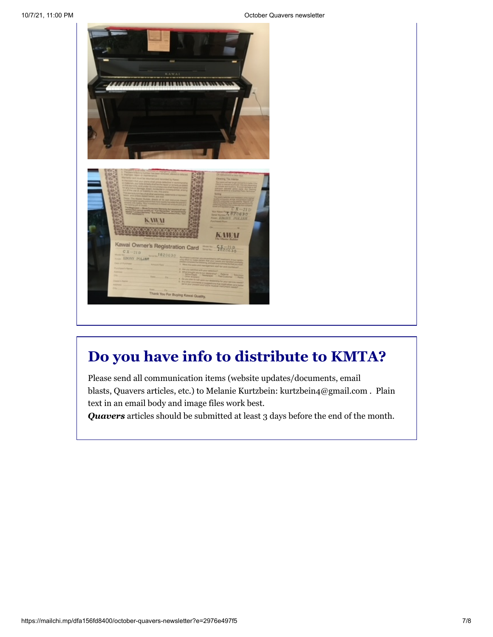10/7/21, 11:00 PM October Quavers newsletter



# **Do you have info to distribute to KMTA?**

Please send all communication items (website updates/documents, email blasts, Quavers articles, etc.) to Melanie Kurtzbein: kurtzbein4@gmail.com . Plain text in an email body and image files work best.

*Quavers* articles should be submitted at least 3 days before the end of the month.